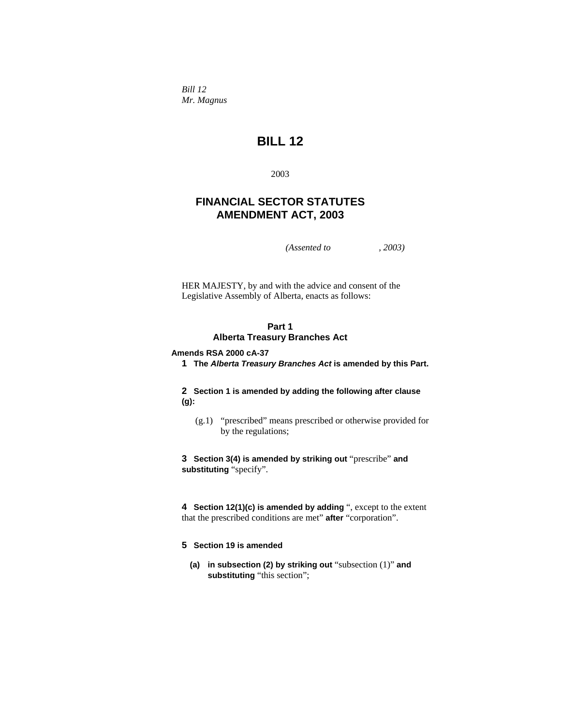*Bill 12 Mr. Magnus* 

# **BILL 12**

2003

# **FINANCIAL SECTOR STATUTES AMENDMENT ACT, 2003**

*(Assented to , 2003)* 

HER MAJESTY, by and with the advice and consent of the Legislative Assembly of Alberta, enacts as follows:

## **Part 1 Alberta Treasury Branches Act**

#### **Amends RSA 2000 cA-37**

**1 The** *Alberta Treasury Branches Act* **is amended by this Part.** 

**2 Section 1 is amended by adding the following after clause (g):**

 (g.1) "prescribed" means prescribed or otherwise provided for by the regulations;

**3 Section 3(4) is amended by striking out** "prescribe" **and substituting** "specify".

**4 Section 12(1)(c) is amended by adding** ", except to the extent that the prescribed conditions are met" **after** "corporation".

## **5 Section 19 is amended**

**(a) in subsection (2) by striking out** "subsection (1)" **and substituting** "this section";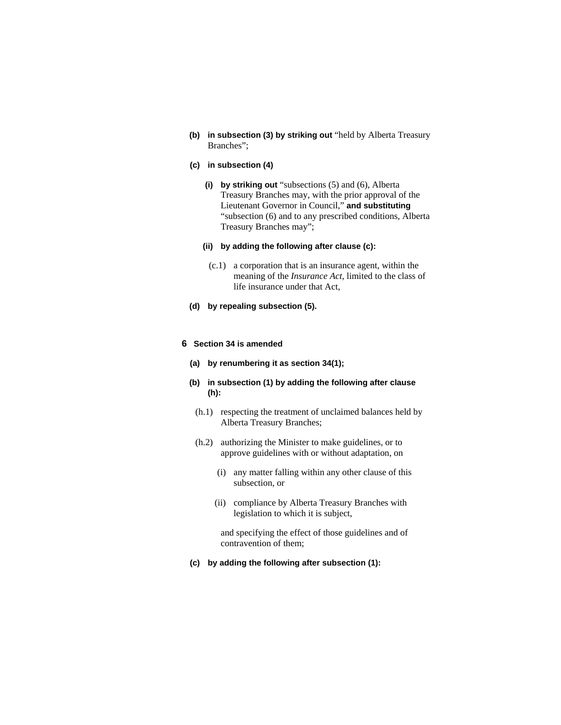- **(b) in subsection (3) by striking out** "held by Alberta Treasury Branches";
- **(c) in subsection (4)** 
	- **(i) by striking out** "subsections (5) and (6), Alberta Treasury Branches may, with the prior approval of the Lieutenant Governor in Council," **and substituting**  "subsection (6) and to any prescribed conditions, Alberta Treasury Branches may";
	- **(ii) by adding the following after clause (c):**
	- (c.1) a corporation that is an insurance agent, within the meaning of the *Insurance Act*, limited to the class of life insurance under that Act,
- **(d) by repealing subsection (5).**

#### **6 Section 34 is amended**

- **(a) by renumbering it as section 34(1);**
- **(b) in subsection (1) by adding the following after clause (h):**
	- (h.1) respecting the treatment of unclaimed balances held by Alberta Treasury Branches;
	- (h.2) authorizing the Minister to make guidelines, or to approve guidelines with or without adaptation, on
		- (i) any matter falling within any other clause of this subsection, or
		- (ii) compliance by Alberta Treasury Branches with legislation to which it is subject,

 and specifying the effect of those guidelines and of contravention of them;

**(c) by adding the following after subsection (1):**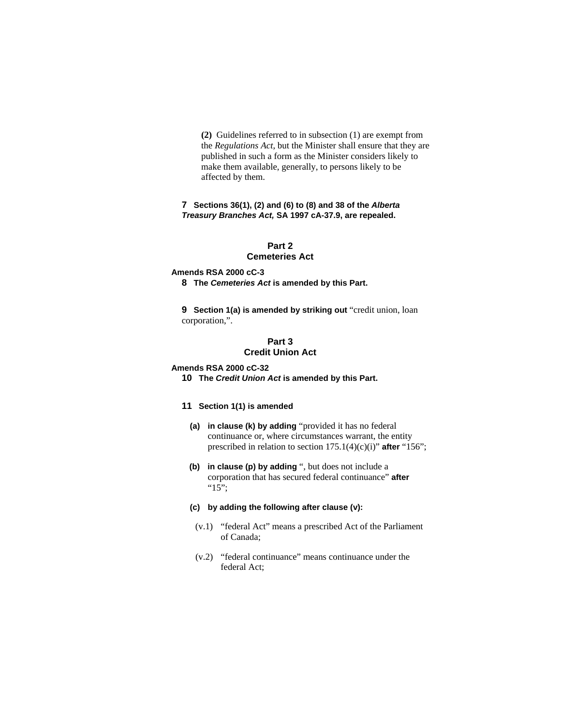**(2)** Guidelines referred to in subsection (1) are exempt from the *Regulations Act*, but the Minister shall ensure that they are published in such a form as the Minister considers likely to make them available, generally, to persons likely to be affected by them.

#### **7 Sections 36(1), (2) and (6) to (8) and 38 of the** *Alberta Treasury Branches Act,* **SA 1997 cA-37.9, are repealed.**

# **Part 2**

## **Cemeteries Act**

**Amends RSA 2000 cC-3 8 The** *Cemeteries Act* **is amended by this Part.** 

**9** Section 1(a) is amended by striking out "credit union, loan corporation,".

## **Part 3 Credit Union Act**

#### **Amends RSA 2000 cC-32**

**10 The** *Credit Union Act* **is amended by this Part.** 

#### **11 Section 1(1) is amended**

- **(a) in clause (k) by adding** "provided it has no federal continuance or, where circumstances warrant, the entity prescribed in relation to section 175.1(4)(c)(i)" **after** "156";
- **(b) in clause (p) by adding** ", but does not include a corporation that has secured federal continuance" **after**  "15";

#### **(c) by adding the following after clause (v):**

- (v.1) "federal Act" means a prescribed Act of the Parliament of Canada;
- (v.2) "federal continuance" means continuance under the federal Act;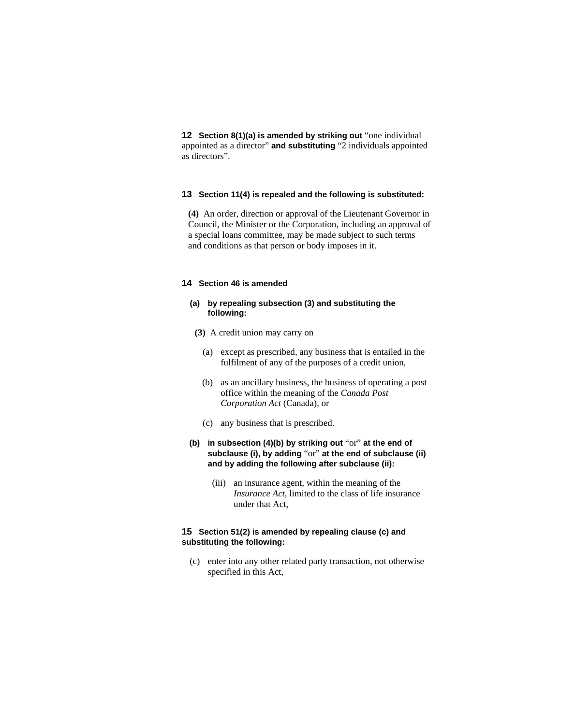**12 Section 8(1)(a) is amended by striking out** "one individual appointed as a director" **and substituting** "2 individuals appointed as directors".

## **13 Section 11(4) is repealed and the following is substituted:**

**(4)** An order, direction or approval of the Lieutenant Governor in Council, the Minister or the Corporation, including an approval of a special loans committee, may be made subject to such terms and conditions as that person or body imposes in it.

#### **14 Section 46 is amended**

## **(a) by repealing subsection (3) and substituting the following:**

- **(3)** A credit union may carry on
	- (a) except as prescribed, any business that is entailed in the fulfilment of any of the purposes of a credit union,
	- (b) as an ancillary business, the business of operating a post office within the meaning of the *Canada Post Corporation Act* (Canada), or
	- (c) any business that is prescribed.
- **(b) in subsection (4)(b) by striking out** "or" **at the end of subclause (i), by adding** "or" **at the end of subclause (ii) and by adding the following after subclause (ii):**
	- (iii) an insurance agent, within the meaning of the *Insurance Act*, limited to the class of life insurance under that Act,

## **15 Section 51(2) is amended by repealing clause (c) and substituting the following:**

 (c) enter into any other related party transaction, not otherwise specified in this Act,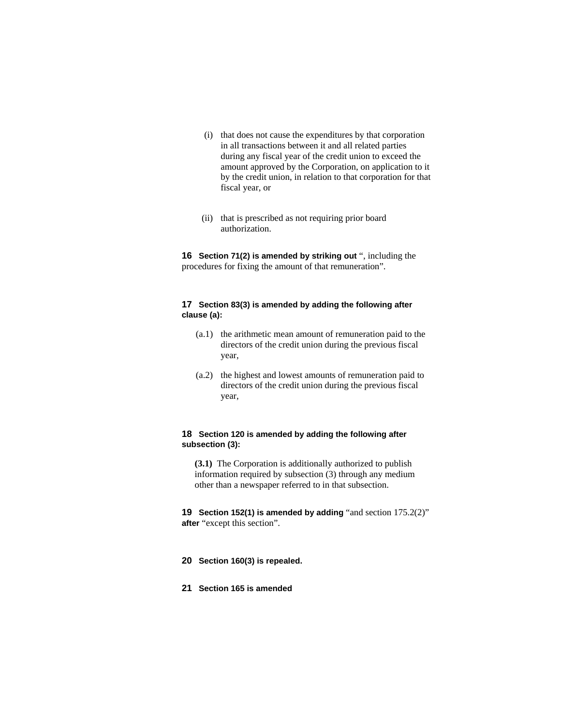- (i) that does not cause the expenditures by that corporation in all transactions between it and all related parties during any fiscal year of the credit union to exceed the amount approved by the Corporation, on application to it by the credit union, in relation to that corporation for that fiscal year, or
- (ii) that is prescribed as not requiring prior board authorization.

**16 Section 71(2) is amended by striking out** ", including the procedures for fixing the amount of that remuneration".

## **17 Section 83(3) is amended by adding the following after clause (a):**

- (a.1) the arithmetic mean amount of remuneration paid to the directors of the credit union during the previous fiscal year,
- (a.2) the highest and lowest amounts of remuneration paid to directors of the credit union during the previous fiscal year,

## **18 Section 120 is amended by adding the following after subsection (3):**

**(3.1)** The Corporation is additionally authorized to publish information required by subsection (3) through any medium other than a newspaper referred to in that subsection.

**19 Section 152(1) is amended by adding** "and section 175.2(2)" **after** "except this section".

**20 Section 160(3) is repealed.**

**21 Section 165 is amended**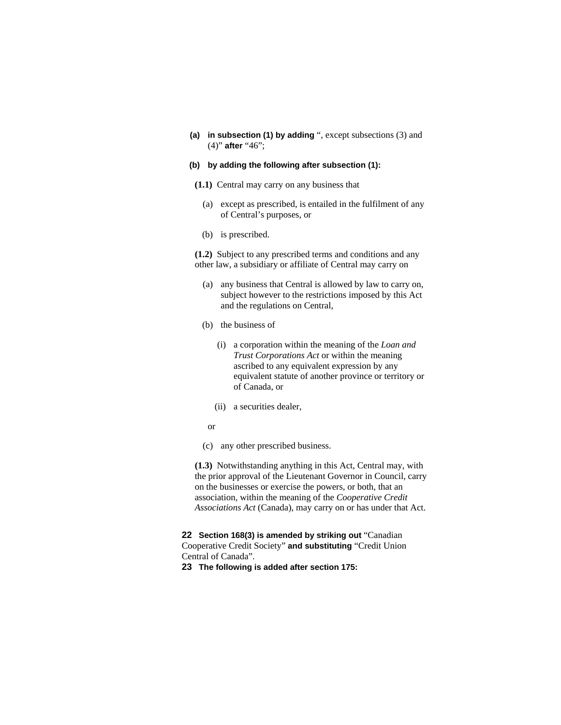**(a) in subsection (1) by adding** ", except subsections (3) and (4)" **after** "46";

## **(b) by adding the following after subsection (1):**

- **(1.1)** Central may carry on any business that
	- (a) except as prescribed, is entailed in the fulfilment of any of Central's purposes, or
	- (b) is prescribed.

**(1.2)** Subject to any prescribed terms and conditions and any other law, a subsidiary or affiliate of Central may carry on

- (a) any business that Central is allowed by law to carry on, subject however to the restrictions imposed by this Act and the regulations on Central,
- (b) the business of
	- (i) a corporation within the meaning of the *Loan and Trust Corporations Act* or within the meaning ascribed to any equivalent expression by any equivalent statute of another province or territory or of Canada, or
	- (ii) a securities dealer,
- or
- (c) any other prescribed business.

**(1.3)** Notwithstanding anything in this Act, Central may, with the prior approval of the Lieutenant Governor in Council, carry on the businesses or exercise the powers, or both, that an association, within the meaning of the *Cooperative Credit Associations Act* (Canada), may carry on or has under that Act.

**22 Section 168(3) is amended by striking out** "Canadian Cooperative Credit Society" **and substituting** "Credit Union Central of Canada".

**23 The following is added after section 175:**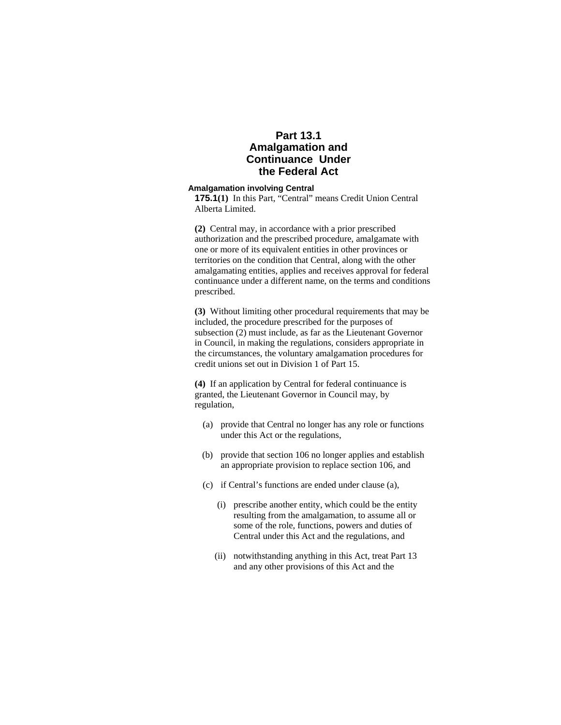## **Part 13.1 Amalgamation and Continuance Under the Federal Act**

## **Amalgamation involving Central**

**175.1(1)** In this Part, "Central" means Credit Union Central Alberta Limited.

**(2)** Central may, in accordance with a prior prescribed authorization and the prescribed procedure, amalgamate with one or more of its equivalent entities in other provinces or territories on the condition that Central, along with the other amalgamating entities, applies and receives approval for federal continuance under a different name, on the terms and conditions prescribed.

**(3)** Without limiting other procedural requirements that may be included, the procedure prescribed for the purposes of subsection (2) must include, as far as the Lieutenant Governor in Council, in making the regulations, considers appropriate in the circumstances, the voluntary amalgamation procedures for credit unions set out in Division 1 of Part 15.

**(4)** If an application by Central for federal continuance is granted, the Lieutenant Governor in Council may, by regulation,

- (a) provide that Central no longer has any role or functions under this Act or the regulations,
- (b) provide that section 106 no longer applies and establish an appropriate provision to replace section 106, and
- (c) if Central's functions are ended under clause (a),
	- (i) prescribe another entity, which could be the entity resulting from the amalgamation, to assume all or some of the role, functions, powers and duties of Central under this Act and the regulations, and
	- (ii) notwithstanding anything in this Act, treat Part 13 and any other provisions of this Act and the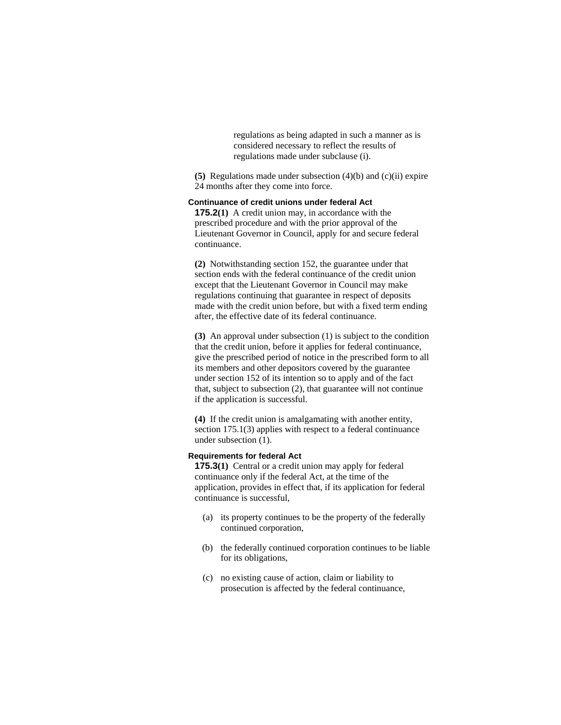regulations as being adapted in such a manner as is considered necessary to reflect the results of regulations made under subclause (i).

**(5)** Regulations made under subsection (4)(b) and (c)(ii) expire 24 months after they come into force.

## **Continuance of credit unions under federal Act**

**175.2(1)** A credit union may, in accordance with the prescribed procedure and with the prior approval of the Lieutenant Governor in Council, apply for and secure federal continuance.

**(2)** Notwithstanding section 152, the guarantee under that section ends with the federal continuance of the credit union except that the Lieutenant Governor in Council may make regulations continuing that guarantee in respect of deposits made with the credit union before, but with a fixed term ending after, the effective date of its federal continuance.

**(3)** An approval under subsection (1) is subject to the condition that the credit union, before it applies for federal continuance, give the prescribed period of notice in the prescribed form to all its members and other depositors covered by the guarantee under section 152 of its intention so to apply and of the fact that, subject to subsection (2), that guarantee will not continue if the application is successful.

**(4)** If the credit union is amalgamating with another entity, section 175.1(3) applies with respect to a federal continuance under subsection (1).

#### **Requirements for federal Act**

**175.3(1)** Central or a credit union may apply for federal continuance only if the federal Act, at the time of the application, provides in effect that, if its application for federal continuance is successful,

- (a) its property continues to be the property of the federally continued corporation,
- (b) the federally continued corporation continues to be liable for its obligations,
- (c) no existing cause of action, claim or liability to prosecution is affected by the federal continuance,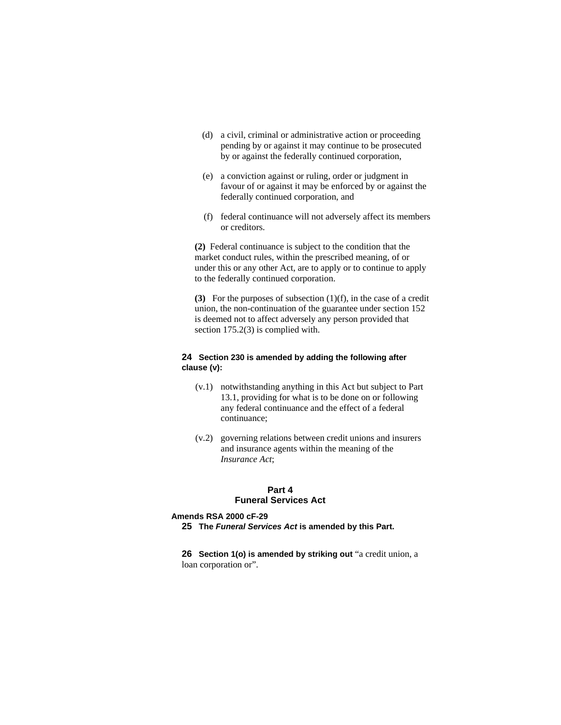- (d) a civil, criminal or administrative action or proceeding pending by or against it may continue to be prosecuted by or against the federally continued corporation,
- (e) a conviction against or ruling, order or judgment in favour of or against it may be enforced by or against the federally continued corporation, and
- (f) federal continuance will not adversely affect its members or creditors.

**(2)** Federal continuance is subject to the condition that the market conduct rules, within the prescribed meaning, of or under this or any other Act, are to apply or to continue to apply to the federally continued corporation.

**(3)** For the purposes of subsection (1)(f), in the case of a credit union, the non-continuation of the guarantee under section 152 is deemed not to affect adversely any person provided that section 175.2(3) is complied with.

## **24 Section 230 is amended by adding the following after clause (v):**

- (v.1) notwithstanding anything in this Act but subject to Part 13.1, providing for what is to be done on or following any federal continuance and the effect of a federal continuance;
- (v.2) governing relations between credit unions and insurers and insurance agents within the meaning of the *Insurance Act*;

## **Part 4 Funeral Services Act**

## **Amends RSA 2000 cF-29**

**25 The** *Funeral Services Act* **is amended by this Part.** 

26 Section 1(o) is amended by striking out "a credit union, a loan corporation or".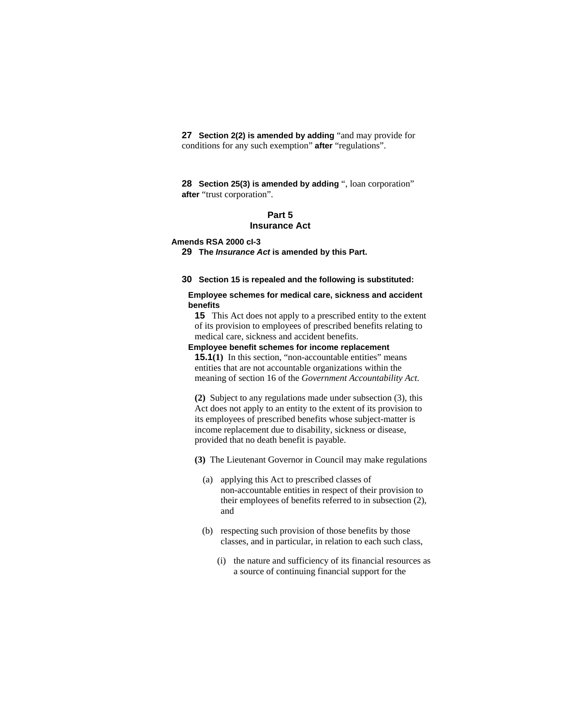**27 Section 2(2) is amended by adding** "and may provide for conditions for any such exemption" **after** "regulations".

**28 Section 25(3) is amended by adding** ", loan corporation" **after** "trust corporation".

# **Part 5**

## **Insurance Act**

## **Amends RSA 2000 cI-3**

**29 The** *Insurance Act* **is amended by this Part.** 

#### **30 Section 15 is repealed and the following is substituted:**

#### **Employee schemes for medical care, sickness and accident benefits**

**15** This Act does not apply to a prescribed entity to the extent of its provision to employees of prescribed benefits relating to medical care, sickness and accident benefits.

## **Employee benefit schemes for income replacement**

**15.1**(1) In this section, "non-accountable entities" means entities that are not accountable organizations within the meaning of section 16 of the *Government Accountability Act*.

**(2)** Subject to any regulations made under subsection (3), this Act does not apply to an entity to the extent of its provision to its employees of prescribed benefits whose subject-matter is income replacement due to disability, sickness or disease, provided that no death benefit is payable.

**(3)** The Lieutenant Governor in Council may make regulations

- (a) applying this Act to prescribed classes of non-accountable entities in respect of their provision to their employees of benefits referred to in subsection (2), and
- (b) respecting such provision of those benefits by those classes, and in particular, in relation to each such class,
	- (i) the nature and sufficiency of its financial resources as a source of continuing financial support for the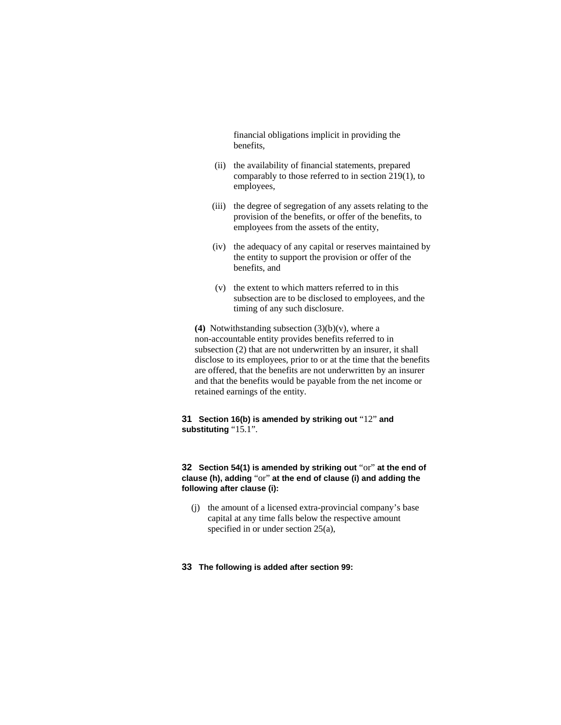financial obligations implicit in providing the benefits,

- (ii) the availability of financial statements, prepared comparably to those referred to in section 219(1), to employees,
- (iii) the degree of segregation of any assets relating to the provision of the benefits, or offer of the benefits, to employees from the assets of the entity,
- (iv) the adequacy of any capital or reserves maintained by the entity to support the provision or offer of the benefits, and
- (v) the extent to which matters referred to in this subsection are to be disclosed to employees, and the timing of any such disclosure.

**(4)** Notwithstanding subsection (3)(b)(v), where a non-accountable entity provides benefits referred to in subsection (2) that are not underwritten by an insurer, it shall disclose to its employees, prior to or at the time that the benefits are offered, that the benefits are not underwritten by an insurer and that the benefits would be payable from the net income or retained earnings of the entity.

**31 Section 16(b) is amended by striking out** "12" **and substituting** "15.1".

## **32 Section 54(1) is amended by striking out** "or" **at the end of clause (h), adding** "or" **at the end of clause (i) and adding the following after clause (i):**

 (j) the amount of a licensed extra-provincial company's base capital at any time falls below the respective amount specified in or under section 25(a),

#### **33 The following is added after section 99:**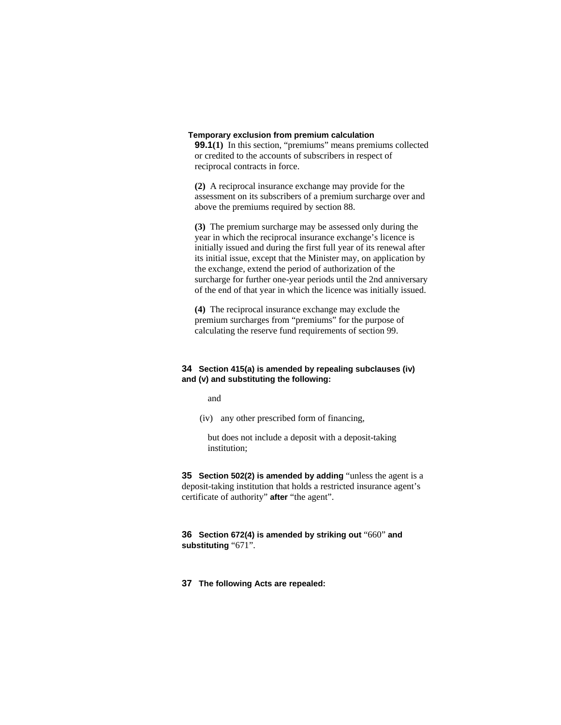#### **Temporary exclusion from premium calculation**

**99.1(1)** In this section, "premiums" means premiums collected or credited to the accounts of subscribers in respect of reciprocal contracts in force.

**(2)** A reciprocal insurance exchange may provide for the assessment on its subscribers of a premium surcharge over and above the premiums required by section 88.

**(3)** The premium surcharge may be assessed only during the year in which the reciprocal insurance exchange's licence is initially issued and during the first full year of its renewal after its initial issue, except that the Minister may, on application by the exchange, extend the period of authorization of the surcharge for further one-year periods until the 2nd anniversary of the end of that year in which the licence was initially issued.

**(4)** The reciprocal insurance exchange may exclude the premium surcharges from "premiums" for the purpose of calculating the reserve fund requirements of section 99.

#### **34 Section 415(a) is amended by repealing subclauses (iv) and (v) and substituting the following:**

and

(iv) any other prescribed form of financing,

 but does not include a deposit with a deposit-taking institution;

**35 Section 502(2) is amended by adding** "unless the agent is a deposit-taking institution that holds a restricted insurance agent's certificate of authority" **after** "the agent".

**36 Section 672(4) is amended by striking out** "660" **and substituting** "671".

**37 The following Acts are repealed:**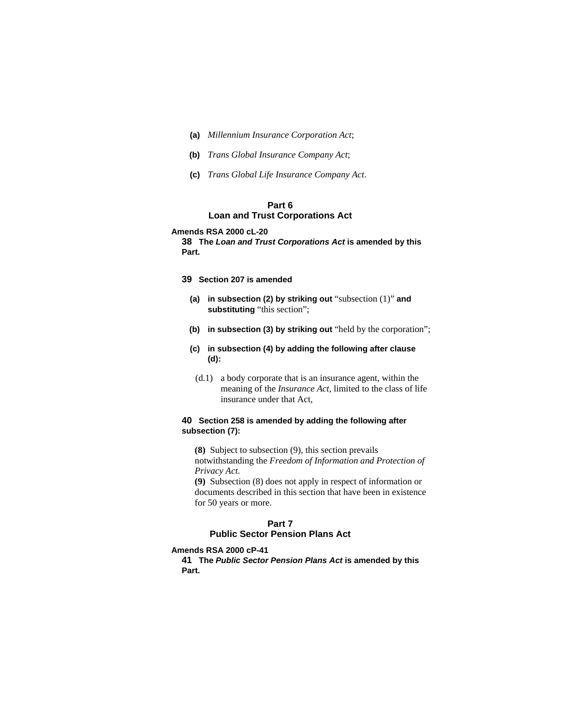- **(a)** *Millennium Insurance Corporation Act*;
- **(b)** *Trans Global Insurance Company Act*;
- **(c)** *Trans Global Life Insurance Company Act*.

## **Part 6 Loan and Trust Corporations Act**

#### **Amends RSA 2000 cL-20**

**38 The** *Loan and Trust Corporations Act* **is amended by this Part.** 

- **39 Section 207 is amended** 
	- **(a) in subsection (2) by striking out** "subsection (1)" **and substituting** "this section";
	- **(b) in subsection (3) by striking out** "held by the corporation";
	- **(c) in subsection (4) by adding the following after clause (d):**
	- (d.1) a body corporate that is an insurance agent, within the meaning of the *Insurance Act*, limited to the class of life insurance under that Act,

## **40 Section 258 is amended by adding the following after subsection (7):**

**(8)** Subject to subsection (9), this section prevails notwithstanding the *Freedom of Information and Protection of Privacy Act*.

**(9)** Subsection (8) does not apply in respect of information or documents described in this section that have been in existence for 50 years or more.

## **Part 7 Public Sector Pension Plans Act**

**Amends RSA 2000 cP-41** 

**41 The** *Public Sector Pension Plans Act* **is amended by this Part.**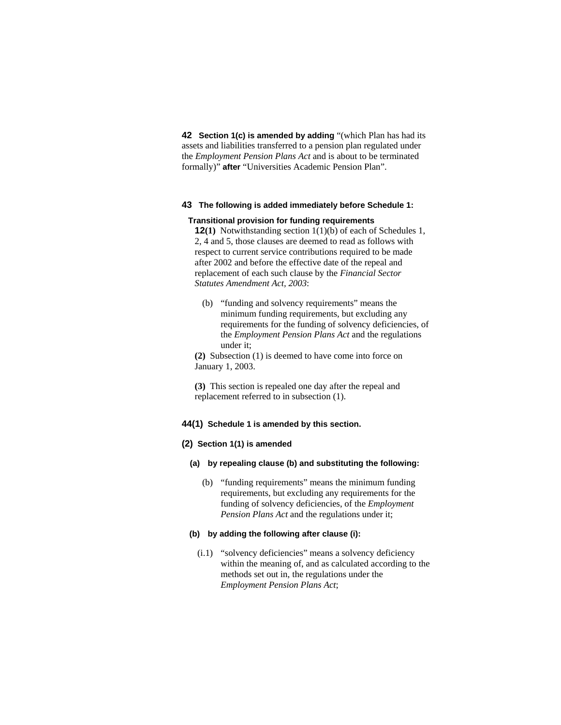**42 Section 1(c) is amended by adding** "(which Plan has had its assets and liabilities transferred to a pension plan regulated under the *Employment Pension Plans Act* and is about to be terminated formally)" **after** "Universities Academic Pension Plan".

#### **43 The following is added immediately before Schedule 1:**

#### **Transitional provision for funding requirements**

**12(1)** Notwithstanding section 1(1)(b) of each of Schedules 1, 2, 4 and 5, those clauses are deemed to read as follows with respect to current service contributions required to be made after 2002 and before the effective date of the repeal and replacement of each such clause by the *Financial Sector Statutes Amendment Act, 2003*:

 (b) "funding and solvency requirements" means the minimum funding requirements, but excluding any requirements for the funding of solvency deficiencies, of the *Employment Pension Plans Act* and the regulations under it;

**(2)** Subsection (1) is deemed to have come into force on January 1, 2003.

**(3)** This section is repealed one day after the repeal and replacement referred to in subsection (1).

### **44(1) Schedule 1 is amended by this section.**

#### **(2) Section 1(1) is amended**

#### **(a) by repealing clause (b) and substituting the following:**

 (b) "funding requirements" means the minimum funding requirements, but excluding any requirements for the funding of solvency deficiencies, of the *Employment Pension Plans Act* and the regulations under it;

#### **(b) by adding the following after clause (i):**

 (i.1) "solvency deficiencies" means a solvency deficiency within the meaning of, and as calculated according to the methods set out in, the regulations under the *Employment Pension Plans Act*;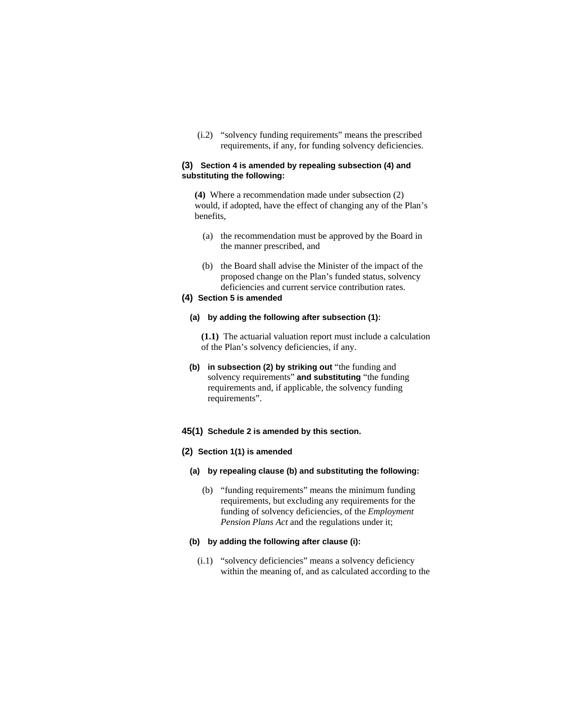(i.2) "solvency funding requirements" means the prescribed requirements, if any, for funding solvency deficiencies.

## **(3) Section 4 is amended by repealing subsection (4) and substituting the following:**

**(4)** Where a recommendation made under subsection (2) would, if adopted, have the effect of changing any of the Plan's benefits,

- (a) the recommendation must be approved by the Board in the manner prescribed, and
- (b) the Board shall advise the Minister of the impact of the proposed change on the Plan's funded status, solvency deficiencies and current service contribution rates.

#### **(4) Section 5 is amended**

**(a) by adding the following after subsection (1):** 

**(1.1)** The actuarial valuation report must include a calculation of the Plan's solvency deficiencies, if any.

- **(b) in subsection (2) by striking out** "the funding and solvency requirements" **and substituting** "the funding requirements and, if applicable, the solvency funding requirements".
- **45(1) Schedule 2 is amended by this section.**
- **(2) Section 1(1) is amended** 
	- **(a) by repealing clause (b) and substituting the following:** 
		- (b) "funding requirements" means the minimum funding requirements, but excluding any requirements for the funding of solvency deficiencies, of the *Employment Pension Plans Act* and the regulations under it;

#### **(b) by adding the following after clause (i):**

 (i.1) "solvency deficiencies" means a solvency deficiency within the meaning of, and as calculated according to the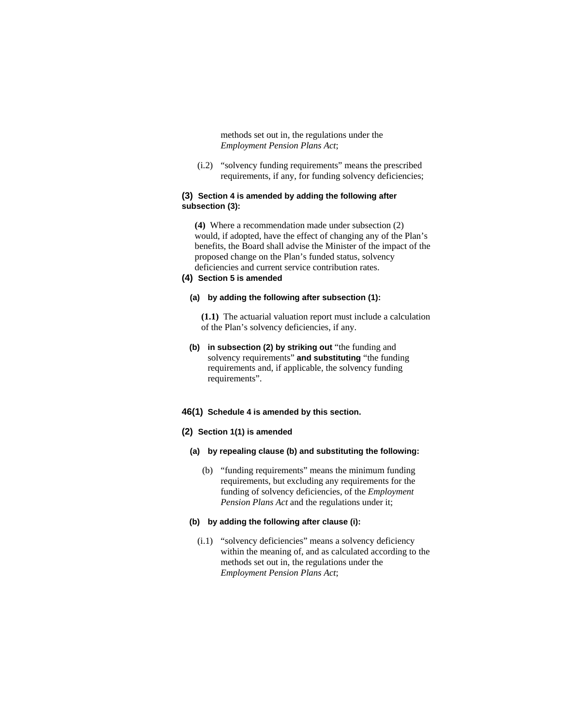methods set out in, the regulations under the *Employment Pension Plans Act*;

 (i.2) "solvency funding requirements" means the prescribed requirements, if any, for funding solvency deficiencies;

## **(3) Section 4 is amended by adding the following after subsection (3):**

**(4)** Where a recommendation made under subsection (2) would, if adopted, have the effect of changing any of the Plan's benefits, the Board shall advise the Minister of the impact of the proposed change on the Plan's funded status, solvency deficiencies and current service contribution rates.

## **(4) Section 5 is amended**

## **(a) by adding the following after subsection (1):**

**(1.1)** The actuarial valuation report must include a calculation of the Plan's solvency deficiencies, if any.

**(b) in subsection (2) by striking out** "the funding and solvency requirements" **and substituting** "the funding requirements and, if applicable, the solvency funding requirements".

#### **46(1) Schedule 4 is amended by this section.**

#### **(2) Section 1(1) is amended**

- **(a) by repealing clause (b) and substituting the following:** 
	- (b) "funding requirements" means the minimum funding requirements, but excluding any requirements for the funding of solvency deficiencies, of the *Employment Pension Plans Act* and the regulations under it;

#### **(b) by adding the following after clause (i):**

 (i.1) "solvency deficiencies" means a solvency deficiency within the meaning of, and as calculated according to the methods set out in, the regulations under the *Employment Pension Plans Act*;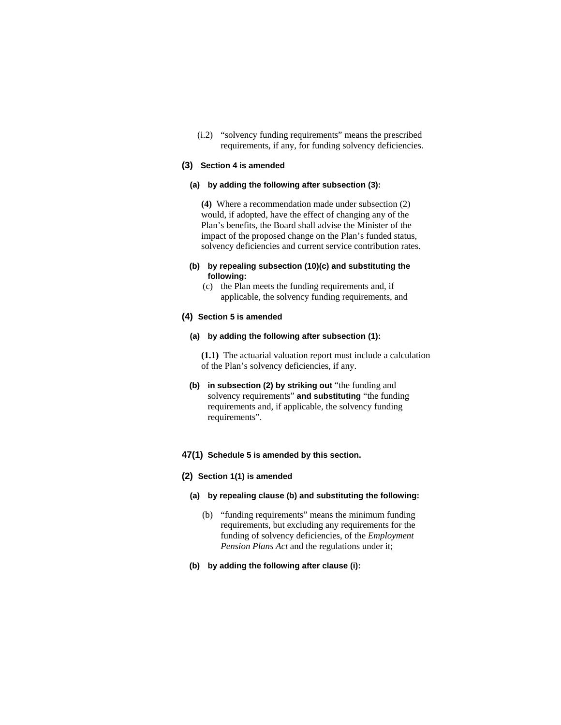(i.2) "solvency funding requirements" means the prescribed requirements, if any, for funding solvency deficiencies.

#### **(3) Section 4 is amended**

#### **(a) by adding the following after subsection (3):**

**(4)** Where a recommendation made under subsection (2) would, if adopted, have the effect of changing any of the Plan's benefits, the Board shall advise the Minister of the impact of the proposed change on the Plan's funded status, solvency deficiencies and current service contribution rates.

## **(b) by repealing subsection (10)(c) and substituting the following:**

 (c) the Plan meets the funding requirements and, if applicable, the solvency funding requirements, and

## **(4) Section 5 is amended**

#### **(a) by adding the following after subsection (1):**

**(1.1)** The actuarial valuation report must include a calculation of the Plan's solvency deficiencies, if any.

**(b) in subsection (2) by striking out** "the funding and solvency requirements" **and substituting** "the funding requirements and, if applicable, the solvency funding requirements".

#### **47(1) Schedule 5 is amended by this section.**

#### **(2) Section 1(1) is amended**

#### **(a) by repealing clause (b) and substituting the following:**

- (b) "funding requirements" means the minimum funding requirements, but excluding any requirements for the funding of solvency deficiencies, of the *Employment Pension Plans Act* and the regulations under it;
- **(b) by adding the following after clause (i):**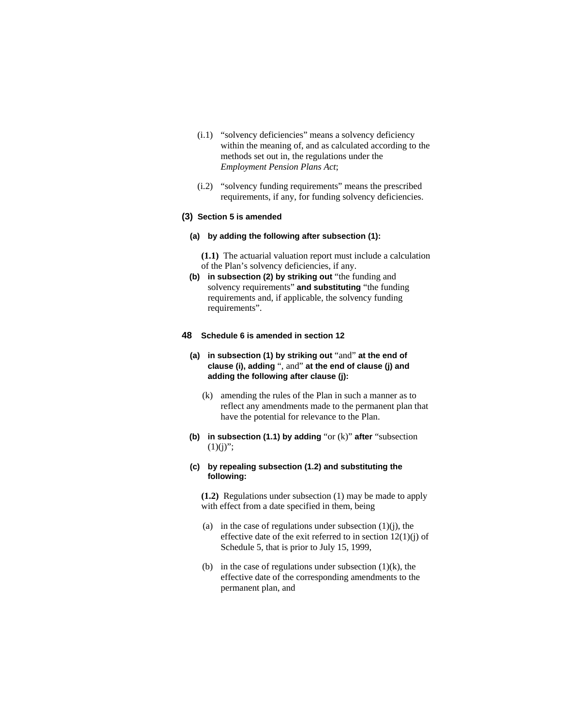- (i.1) "solvency deficiencies" means a solvency deficiency within the meaning of, and as calculated according to the methods set out in, the regulations under the *Employment Pension Plans Act*;
- (i.2) "solvency funding requirements" means the prescribed requirements, if any, for funding solvency deficiencies.

## **(3) Section 5 is amended**

## **(a) by adding the following after subsection (1):**

- **(1.1)** The actuarial valuation report must include a calculation of the Plan's solvency deficiencies, if any.
- **(b) in subsection (2) by striking out** "the funding and solvency requirements" **and substituting** "the funding requirements and, if applicable, the solvency funding requirements".

#### **48 Schedule 6 is amended in section 12**

## **(a) in subsection (1) by striking out** "and" **at the end of clause (i), adding** ", and" **at the end of clause (j) and adding the following after clause (j):**

- (k) amending the rules of the Plan in such a manner as to reflect any amendments made to the permanent plan that have the potential for relevance to the Plan.
- **(b) in subsection (1.1) by adding** "or (k)" **after** "subsection  $(1)(i)$ ";

#### **(c) by repealing subsection (1.2) and substituting the following:**

**(1.2)** Regulations under subsection (1) may be made to apply with effect from a date specified in them, being

- (a) in the case of regulations under subsection  $(1)(i)$ , the effective date of the exit referred to in section  $12(1)(i)$  of Schedule 5, that is prior to July 15, 1999,
- (b) in the case of regulations under subsection  $(1)(k)$ , the effective date of the corresponding amendments to the permanent plan, and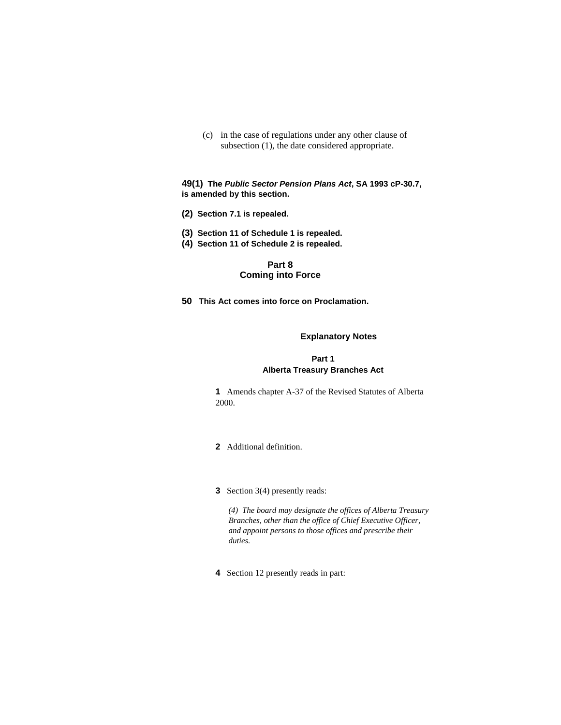(c) in the case of regulations under any other clause of subsection (1), the date considered appropriate.

**49(1) The** *Public Sector Pension Plans Act***, SA 1993 cP-30.7, is amended by this section.**

- **(2) Section 7.1 is repealed.**
- **(3) Section 11 of Schedule 1 is repealed.**
- **(4) Section 11 of Schedule 2 is repealed.**

## **Part 8 Coming into Force**

**50 This Act comes into force on Proclamation.** 

## **Explanatory Notes**

## **Part 1 Alberta Treasury Branches Act**

**1** Amends chapter A-37 of the Revised Statutes of Alberta 2000.

**2** Additional definition.

#### **3** Section 3(4) presently reads:

*(4) The board may designate the offices of Alberta Treasury Branches, other than the office of Chief Executive Officer, and appoint persons to those offices and prescribe their duties.* 

**4** Section 12 presently reads in part: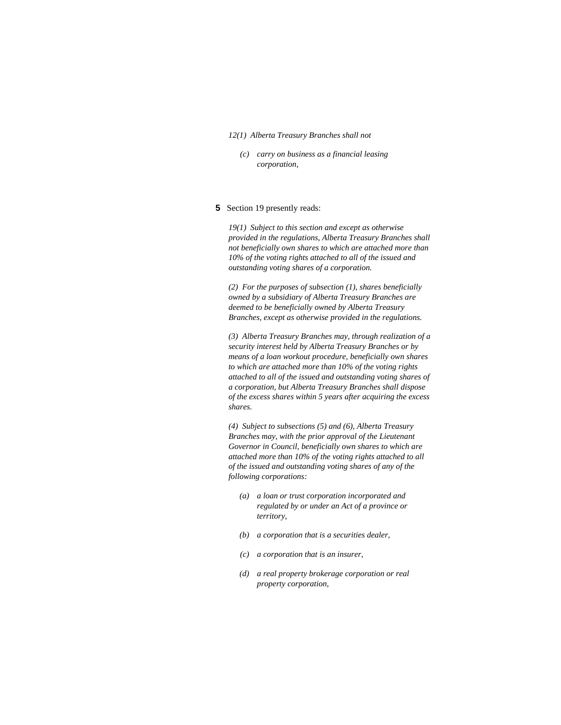#### *12(1) Alberta Treasury Branches shall not*

*(c) carry on business as a financial leasing corporation,* 

#### **5** Section 19 presently reads:

*19(1) Subject to this section and except as otherwise provided in the regulations, Alberta Treasury Branches shall not beneficially own shares to which are attached more than 10% of the voting rights attached to all of the issued and outstanding voting shares of a corporation.* 

*(2) For the purposes of subsection (1), shares beneficially owned by a subsidiary of Alberta Treasury Branches are deemed to be beneficially owned by Alberta Treasury Branches, except as otherwise provided in the regulations.* 

*(3) Alberta Treasury Branches may, through realization of a security interest held by Alberta Treasury Branches or by means of a loan workout procedure, beneficially own shares to which are attached more than 10% of the voting rights attached to all of the issued and outstanding voting shares of a corporation, but Alberta Treasury Branches shall dispose of the excess shares within 5 years after acquiring the excess shares.* 

*(4) Subject to subsections (5) and (6), Alberta Treasury Branches may, with the prior approval of the Lieutenant Governor in Council, beneficially own shares to which are attached more than 10% of the voting rights attached to all of the issued and outstanding voting shares of any of the following corporations:* 

- *(a) a loan or trust corporation incorporated and regulated by or under an Act of a province or territory,*
- *(b) a corporation that is a securities dealer,*
- *(c) a corporation that is an insurer,*
- *(d) a real property brokerage corporation or real property corporation,*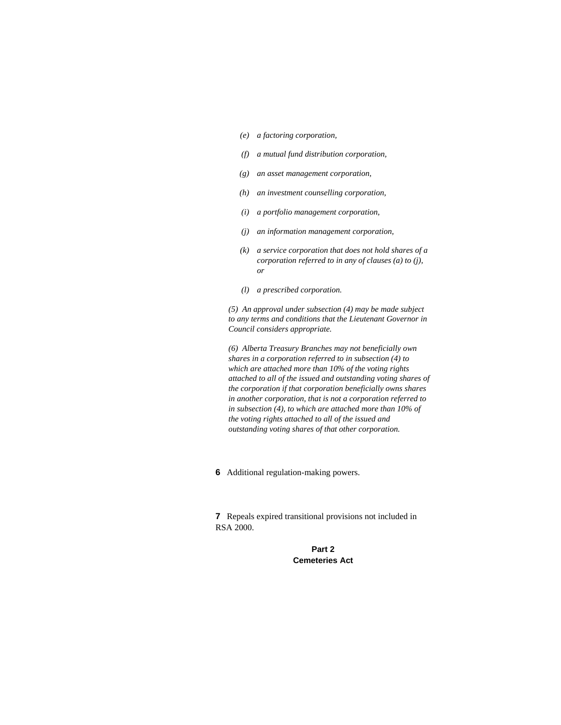- *(e) a factoring corporation,*
- *(f) a mutual fund distribution corporation,*
- *(g) an asset management corporation,*
- *(h) an investment counselling corporation,*
- *(i) a portfolio management corporation,*
- *(j) an information management corporation,*
- *(k) a service corporation that does not hold shares of a corporation referred to in any of clauses (a) to (j), or*
- *(l) a prescribed corporation.*

*(5) An approval under subsection (4) may be made subject to any terms and conditions that the Lieutenant Governor in Council considers appropriate.* 

*(6) Alberta Treasury Branches may not beneficially own shares in a corporation referred to in subsection (4) to which are attached more than 10% of the voting rights attached to all of the issued and outstanding voting shares of the corporation if that corporation beneficially owns shares in another corporation, that is not a corporation referred to in subsection (4), to which are attached more than 10% of the voting rights attached to all of the issued and outstanding voting shares of that other corporation.* 

**6** Additional regulation-making powers.

**7** Repeals expired transitional provisions not included in RSA 2000.

> **Part 2 Cemeteries Act**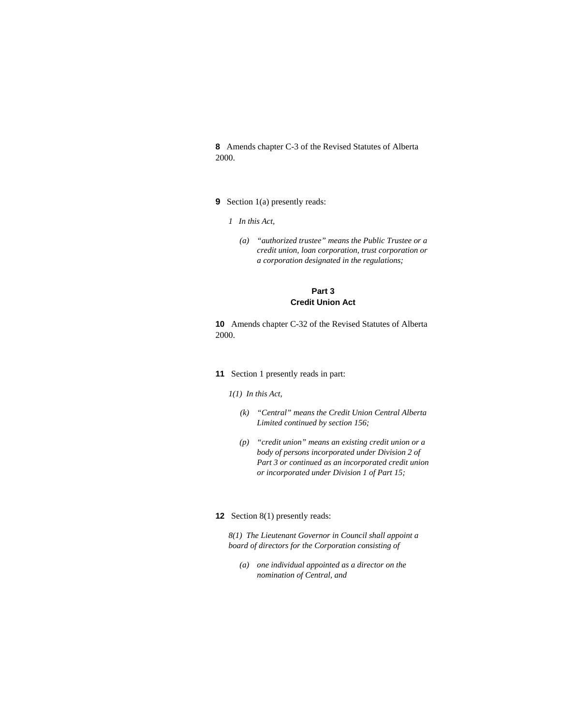**8** Amends chapter C-3 of the Revised Statutes of Alberta 2000.

- **9** Section 1(a) presently reads:
	- *1 In this Act,* 
		- *(a) "authorized trustee" means the Public Trustee or a credit union, loan corporation, trust corporation or a corporation designated in the regulations;*

## **Part 3 Credit Union Act**

**10** Amends chapter C-32 of the Revised Statutes of Alberta 2000.

**11** Section 1 presently reads in part:

*1(1) In this Act,* 

- *(k) "Central" means the Credit Union Central Alberta Limited continued by section 156;*
- *(p) "credit union" means an existing credit union or a body of persons incorporated under Division 2 of Part 3 or continued as an incorporated credit union or incorporated under Division 1 of Part 15;*

## **12** Section 8(1) presently reads:

*8(1) The Lieutenant Governor in Council shall appoint a board of directors for the Corporation consisting of* 

 *(a) one individual appointed as a director on the nomination of Central, and*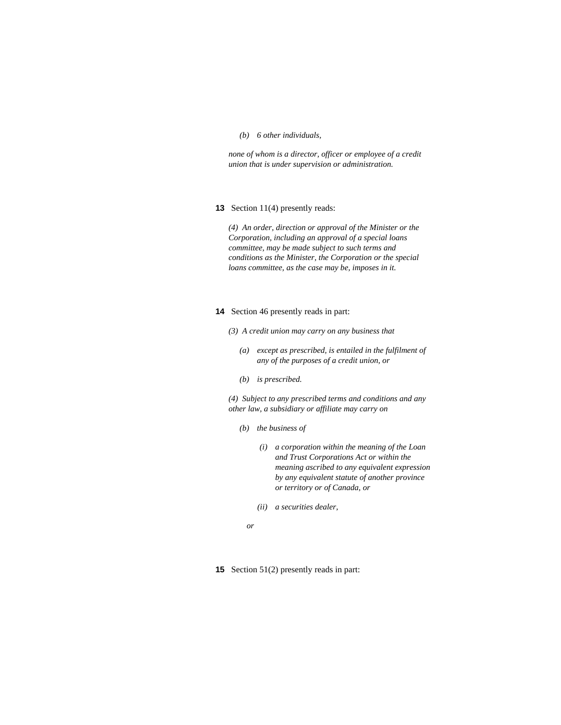#### *(b) 6 other individuals,*

*none of whom is a director, officer or employee of a credit union that is under supervision or administration.* 

#### **13** Section 11(4) presently reads:

*(4) An order, direction or approval of the Minister or the Corporation, including an approval of a special loans committee, may be made subject to such terms and conditions as the Minister, the Corporation or the special loans committee, as the case may be, imposes in it.* 

#### **14** Section 46 presently reads in part:

- *(3) A credit union may carry on any business that* 
	- *(a) except as prescribed, is entailed in the fulfilment of any of the purposes of a credit union, or*
	- *(b) is prescribed.*

*(4) Subject to any prescribed terms and conditions and any other law, a subsidiary or affiliate may carry on* 

- *(b) the business of* 
	- *(i) a corporation within the meaning of the Loan and Trust Corporations Act or within the meaning ascribed to any equivalent expression by any equivalent statute of another province or territory or of Canada, or*
	- *(ii) a securities dealer,*
	- *or*

**15** Section 51(2) presently reads in part: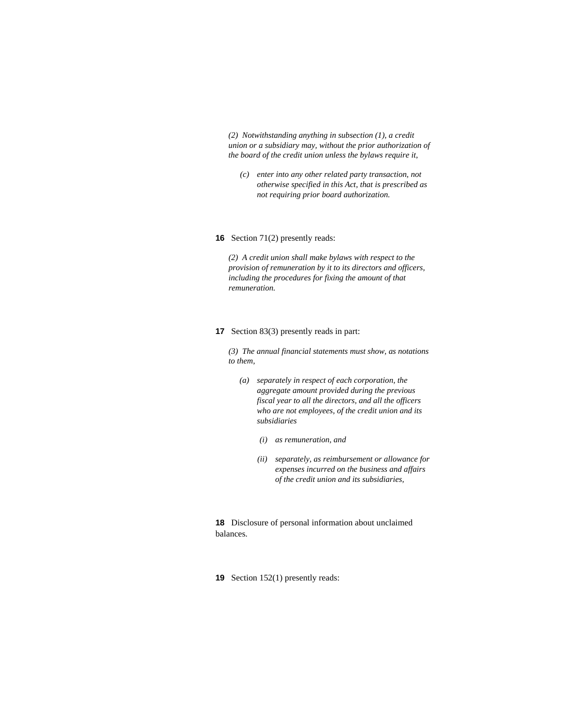*(2) Notwithstanding anything in subsection (1), a credit union or a subsidiary may, without the prior authorization of the board of the credit union unless the bylaws require it,* 

*(c) enter into any other related party transaction, not otherwise specified in this Act, that is prescribed as not requiring prior board authorization.* 

#### **16** Section 71(2) presently reads:

*(2) A credit union shall make bylaws with respect to the provision of remuneration by it to its directors and officers, including the procedures for fixing the amount of that remuneration.* 

## **17** Section 83(3) presently reads in part:

*(3) The annual financial statements must show, as notations to them,* 

- *(a) separately in respect of each corporation, the aggregate amount provided during the previous fiscal year to all the directors, and all the officers who are not employees, of the credit union and its subsidiaries* 
	- *(i) as remuneration, and*
	- *(ii) separately, as reimbursement or allowance for expenses incurred on the business and affairs of the credit union and its subsidiaries,*

**18** Disclosure of personal information about unclaimed balances.

**19** Section 152(1) presently reads: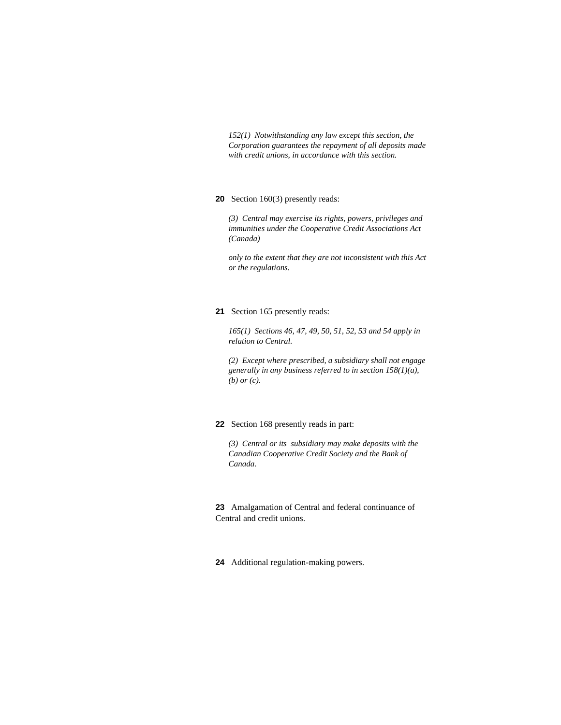*152(1) Notwithstanding any law except this section, the Corporation guarantees the repayment of all deposits made with credit unions, in accordance with this section.* 

## **20** Section 160(3) presently reads:

*(3) Central may exercise its rights, powers, privileges and immunities under the Cooperative Credit Associations Act (Canada)* 

*only to the extent that they are not inconsistent with this Act or the regulations.* 

## **21** Section 165 presently reads:

*165(1) Sections 46, 47, 49, 50, 51, 52, 53 and 54 apply in relation to Central.* 

*(2) Except where prescribed, a subsidiary shall not engage generally in any business referred to in section 158(1)(a), (b) or (c).* 

## **22** Section 168 presently reads in part:

*(3) Central or its subsidiary may make deposits with the Canadian Cooperative Credit Society and the Bank of Canada.* 

**23** Amalgamation of Central and federal continuance of Central and credit unions.

**24** Additional regulation-making powers.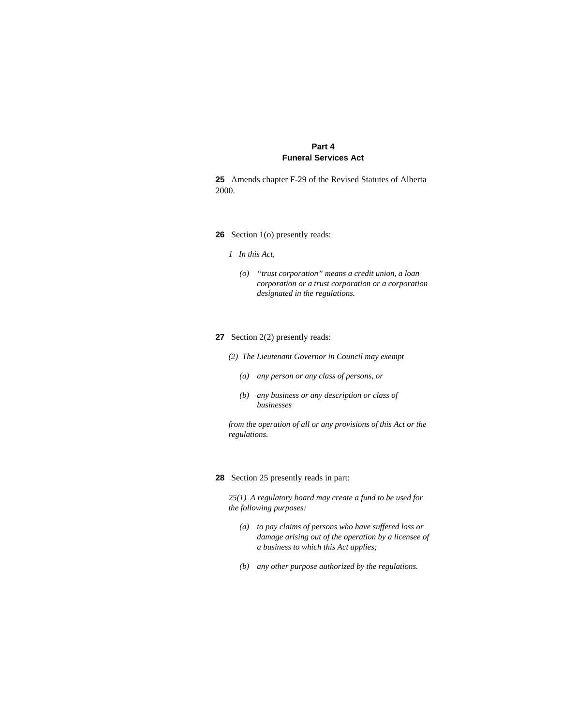## **Part 4 Funeral Services Act**

**25** Amends chapter F-29 of the Revised Statutes of Alberta 2000.

- **26** Section 1(o) presently reads:
	- *1 In this Act,* 
		- *(o) "trust corporation" means a credit union, a loan corporation or a trust corporation or a corporation designated in the regulations.*

## **27** Section 2(2) presently reads:

- *(2) The Lieutenant Governor in Council may exempt* 
	- *(a) any person or any class of persons, or*
	- *(b) any business or any description or class of businesses*

*from the operation of all or any provisions of this Act or the regulations.* 

## **28** Section 25 presently reads in part:

*25(1) A regulatory board may create a fund to be used for the following purposes:* 

- *(a) to pay claims of persons who have suffered loss or damage arising out of the operation by a licensee of a business to which this Act applies;*
- *(b) any other purpose authorized by the regulations.*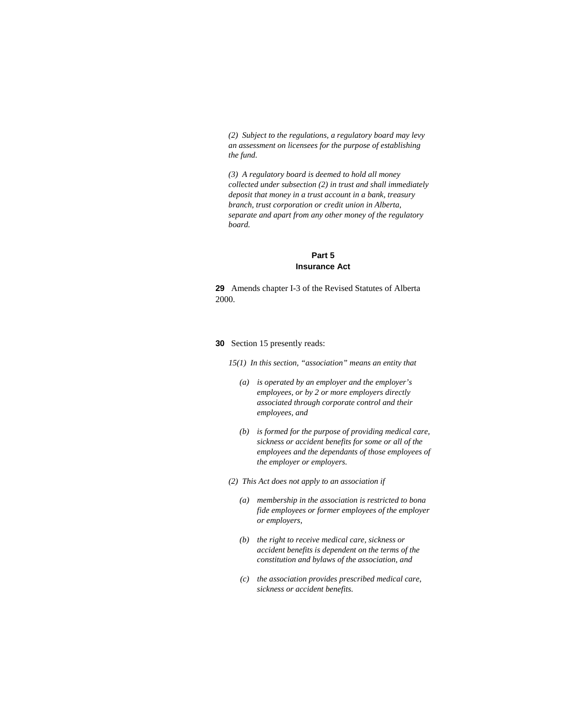*(2) Subject to the regulations, a regulatory board may levy an assessment on licensees for the purpose of establishing the fund.* 

*(3) A regulatory board is deemed to hold all money collected under subsection (2) in trust and shall immediately deposit that money in a trust account in a bank, treasury branch, trust corporation or credit union in Alberta, separate and apart from any other money of the regulatory board.* 

## **Part 5 Insurance Act**

**29** Amends chapter I-3 of the Revised Statutes of Alberta 2000.

#### **30** Section 15 presently reads:

*15(1) In this section, "association" means an entity that* 

- *(a) is operated by an employer and the employer's employees, or by 2 or more employers directly associated through corporate control and their employees, and*
- *(b) is formed for the purpose of providing medical care, sickness or accident benefits for some or all of the employees and the dependants of those employees of the employer or employers.*
- *(2) This Act does not apply to an association if* 
	- *(a) membership in the association is restricted to bona fide employees or former employees of the employer or employers,*
	- *(b) the right to receive medical care, sickness or accident benefits is dependent on the terms of the constitution and bylaws of the association, and*
	- *(c) the association provides prescribed medical care, sickness or accident benefits.*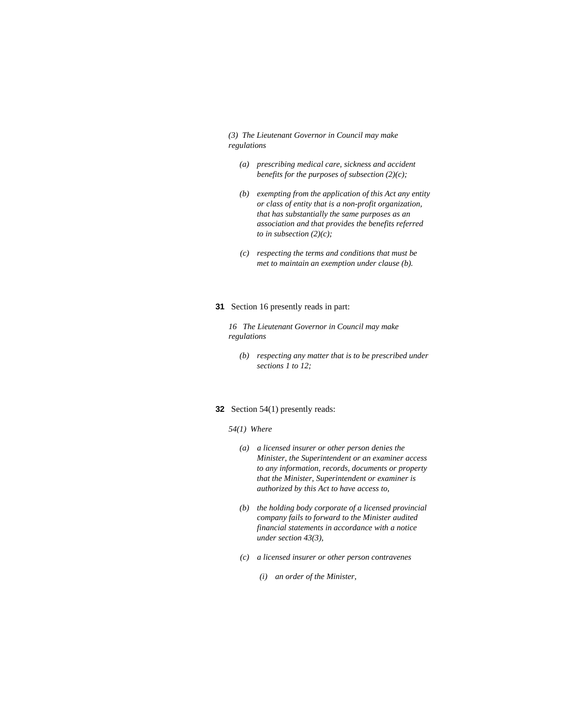*(3) The Lieutenant Governor in Council may make regulations* 

- *(a) prescribing medical care, sickness and accident benefits for the purposes of subsection (2)(c);*
- *(b) exempting from the application of this Act any entity or class of entity that is a non-profit organization, that has substantially the same purposes as an association and that provides the benefits referred to in subsection (2)(c);*
- *(c) respecting the terms and conditions that must be met to maintain an exemption under clause (b).*

#### **31** Section 16 presently reads in part:

*16 The Lieutenant Governor in Council may make regulations* 

 *(b) respecting any matter that is to be prescribed under sections 1 to 12;* 

#### **32** Section 54(1) presently reads:

#### *54(1) Where*

- *(a) a licensed insurer or other person denies the Minister, the Superintendent or an examiner access to any information, records, documents or property that the Minister, Superintendent or examiner is authorized by this Act to have access to,*
- *(b) the holding body corporate of a licensed provincial company fails to forward to the Minister audited financial statements in accordance with a notice under section 43(3),*
- *(c) a licensed insurer or other person contravenes* 
	- *(i) an order of the Minister,*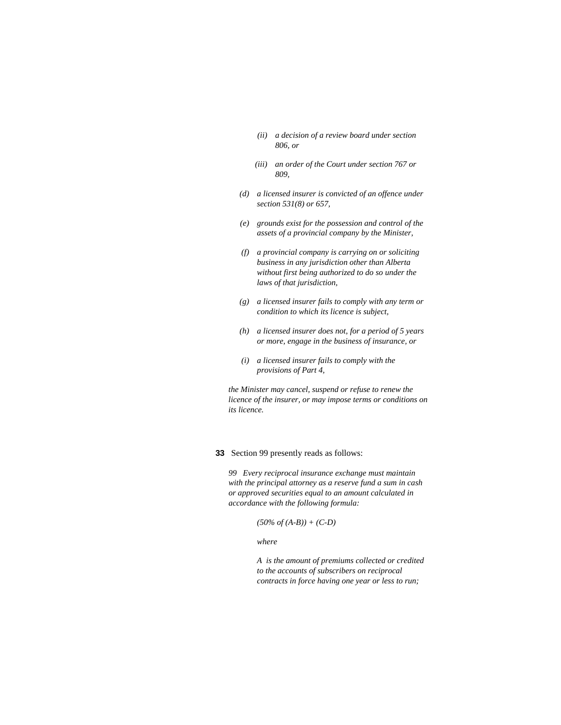- *(ii) a decision of a review board under section 806, or*
- *(iii) an order of the Court under section 767 or 809,*
- *(d) a licensed insurer is convicted of an offence under section 531(8) or 657,*
- *(e) grounds exist for the possession and control of the assets of a provincial company by the Minister,*
- *(f) a provincial company is carrying on or soliciting business in any jurisdiction other than Alberta without first being authorized to do so under the laws of that jurisdiction,*
- *(g) a licensed insurer fails to comply with any term or condition to which its licence is subject,*
- *(h) a licensed insurer does not, for a period of 5 years or more, engage in the business of insurance, or*
- *(i) a licensed insurer fails to comply with the provisions of Part 4,*

*the Minister may cancel, suspend or refuse to renew the licence of the insurer, or may impose terms or conditions on its licence.* 

## **33** Section 99 presently reads as follows:

*99 Every reciprocal insurance exchange must maintain with the principal attorney as a reserve fund a sum in cash or approved securities equal to an amount calculated in accordance with the following formula:* 

 *(50% of (A-B)) + (C-D)* 

 *where* 

 *A is the amount of premiums collected or credited to the accounts of subscribers on reciprocal contracts in force having one year or less to run;*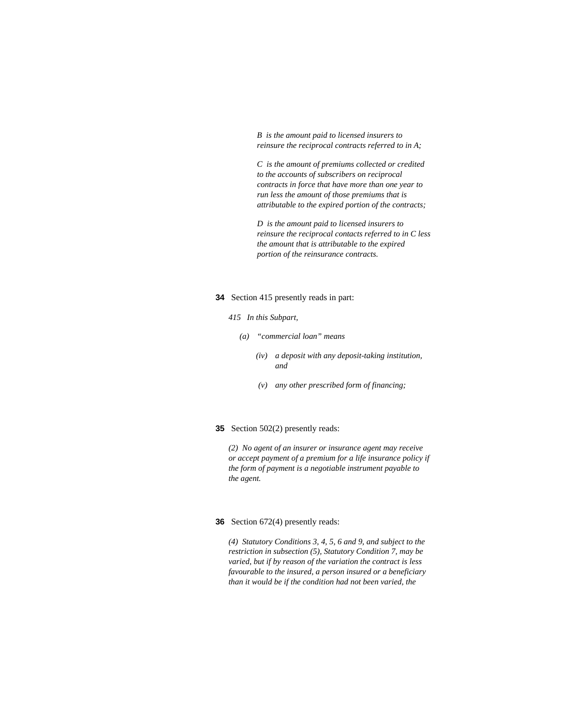*B is the amount paid to licensed insurers to reinsure the reciprocal contracts referred to in A;* 

 *C is the amount of premiums collected or credited to the accounts of subscribers on reciprocal contracts in force that have more than one year to run less the amount of those premiums that is attributable to the expired portion of the contracts;* 

 *D is the amount paid to licensed insurers to reinsure the reciprocal contacts referred to in C less the amount that is attributable to the expired portion of the reinsurance contracts.* 

- **34** Section 415 presently reads in part:
	- *415 In this Subpart,* 
		- *(a) "commercial loan" means* 
			- *(iv) a deposit with any deposit-taking institution, and*
			- *(v) any other prescribed form of financing;*

## **35** Section 502(2) presently reads:

*(2) No agent of an insurer or insurance agent may receive or accept payment of a premium for a life insurance policy if the form of payment is a negotiable instrument payable to the agent.* 

#### **36** Section 672(4) presently reads:

*(4) Statutory Conditions 3, 4, 5, 6 and 9, and subject to the restriction in subsection (5), Statutory Condition 7, may be varied, but if by reason of the variation the contract is less favourable to the insured, a person insured or a beneficiary than it would be if the condition had not been varied, the*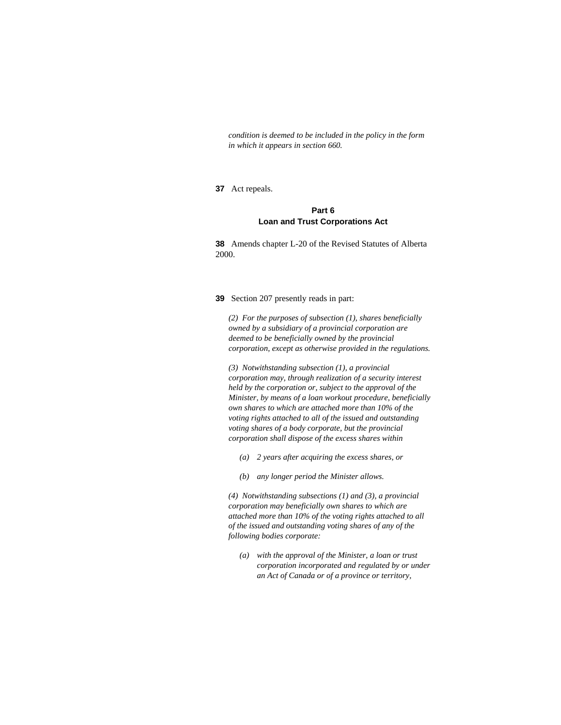*condition is deemed to be included in the policy in the form in which it appears in section 660.* 

**37** Act repeals.

## **Part 6 Loan and Trust Corporations Act**

**38** Amends chapter L-20 of the Revised Statutes of Alberta 2000.

#### **39** Section 207 presently reads in part:

*(2) For the purposes of subsection (1), shares beneficially owned by a subsidiary of a provincial corporation are deemed to be beneficially owned by the provincial corporation, except as otherwise provided in the regulations.* 

*(3) Notwithstanding subsection (1), a provincial corporation may, through realization of a security interest held by the corporation or, subject to the approval of the Minister, by means of a loan workout procedure, beneficially own shares to which are attached more than 10% of the voting rights attached to all of the issued and outstanding voting shares of a body corporate, but the provincial corporation shall dispose of the excess shares within* 

- *(a) 2 years after acquiring the excess shares, or*
- *(b) any longer period the Minister allows.*

*(4) Notwithstanding subsections (1) and (3), a provincial corporation may beneficially own shares to which are attached more than 10% of the voting rights attached to all of the issued and outstanding voting shares of any of the following bodies corporate:* 

*(a) with the approval of the Minister, a loan or trust corporation incorporated and regulated by or under an Act of Canada or of a province or territory,*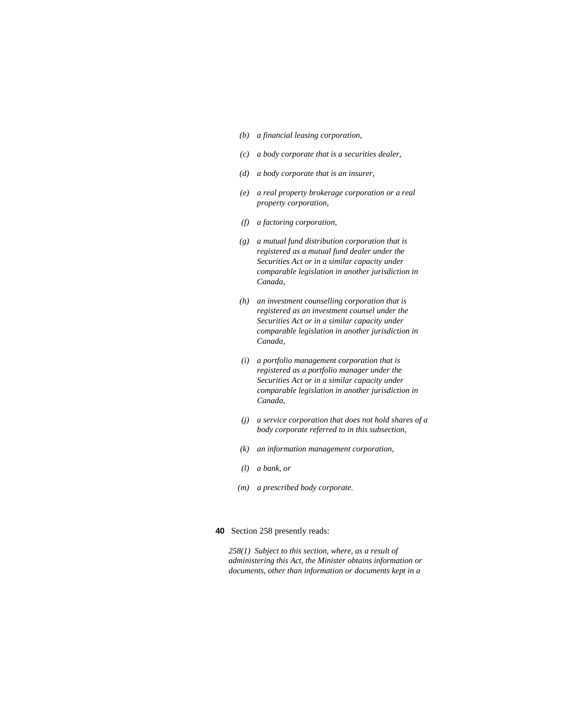- *(b) a financial leasing corporation,*
- *(c) a body corporate that is a securities dealer,*
- *(d) a body corporate that is an insurer,*
- *(e) a real property brokerage corporation or a real property corporation,*
- *(f) a factoring corporation,*
- *(g) a mutual fund distribution corporation that is registered as a mutual fund dealer under the Securities Act or in a similar capacity under comparable legislation in another jurisdiction in Canada,*
- *(h) an investment counselling corporation that is registered as an investment counsel under the Securities Act or in a similar capacity under comparable legislation in another jurisdiction in Canada,*
- *(i) a portfolio management corporation that is registered as a portfolio manager under the Securities Act or in a similar capacity under comparable legislation in another jurisdiction in Canada,*
- *(j) a service corporation that does not hold shares of a body corporate referred to in this subsection,*
- *(k) an information management corporation,*
- *(l) a bank, or*
- *(m) a prescribed body corporate.*
- **40** Section 258 presently reads:

*258(1) Subject to this section, where, as a result of administering this Act, the Minister obtains information or documents, other than information or documents kept in a*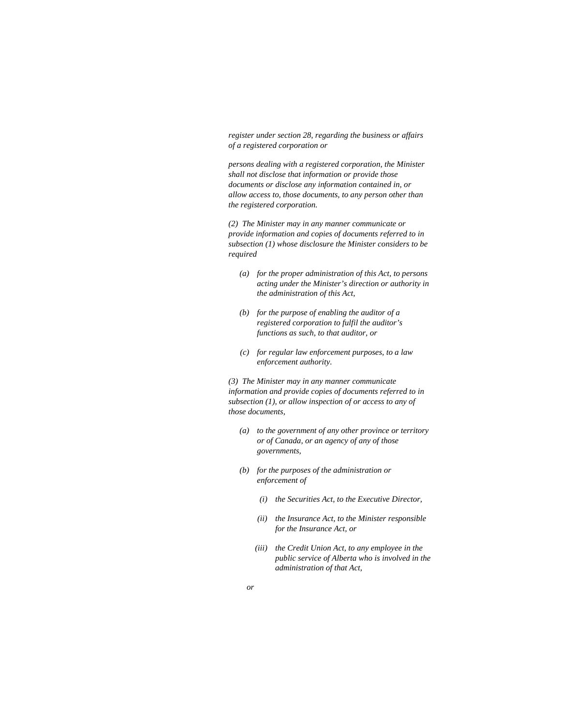*register under section 28, regarding the business or affairs of a registered corporation or* 

*persons dealing with a registered corporation, the Minister shall not disclose that information or provide those documents or disclose any information contained in, or allow access to, those documents, to any person other than the registered corporation.* 

*(2) The Minister may in any manner communicate or provide information and copies of documents referred to in subsection (1) whose disclosure the Minister considers to be required* 

- *(a) for the proper administration of this Act, to persons acting under the Minister's direction or authority in the administration of this Act,*
- *(b) for the purpose of enabling the auditor of a registered corporation to fulfil the auditor's functions as such, to that auditor, or*
- *(c) for regular law enforcement purposes, to a law enforcement authority.*

*(3) The Minister may in any manner communicate information and provide copies of documents referred to in subsection (1), or allow inspection of or access to any of those documents,* 

- *(a) to the government of any other province or territory or of Canada, or an agency of any of those governments,*
- *(b) for the purposes of the administration or enforcement of* 
	- *(i) the Securities Act, to the Executive Director,*
	- *(ii) the Insurance Act, to the Minister responsible for the Insurance Act, or*
	- *(iii) the Credit Union Act, to any employee in the public service of Alberta who is involved in the administration of that Act,*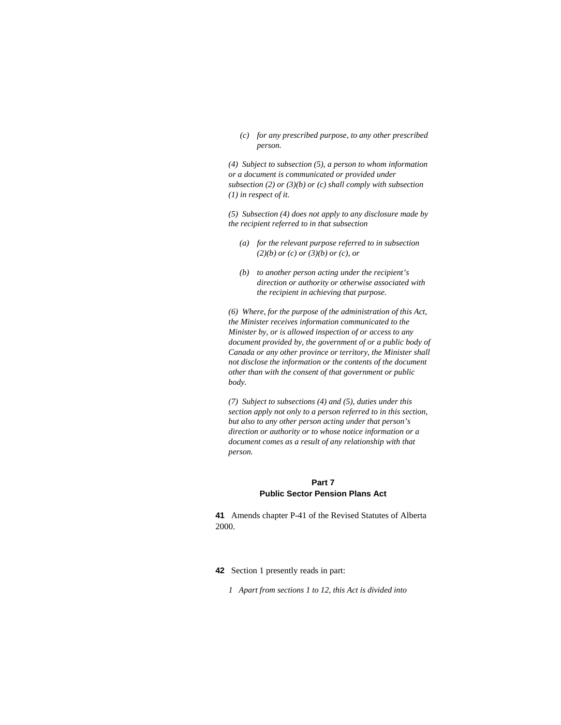*(c) for any prescribed purpose, to any other prescribed person.* 

*(4) Subject to subsection (5), a person to whom information or a document is communicated or provided under subsection (2) or (3)(b) or (c) shall comply with subsection (1) in respect of it.* 

*(5) Subsection (4) does not apply to any disclosure made by the recipient referred to in that subsection* 

- *(a) for the relevant purpose referred to in subsection (2)(b) or (c) or (3)(b) or (c), or*
- *(b) to another person acting under the recipient's direction or authority or otherwise associated with the recipient in achieving that purpose.*

*(6) Where, for the purpose of the administration of this Act, the Minister receives information communicated to the Minister by, or is allowed inspection of or access to any document provided by, the government of or a public body of Canada or any other province or territory, the Minister shall not disclose the information or the contents of the document other than with the consent of that government or public body.* 

*(7) Subject to subsections (4) and (5), duties under this section apply not only to a person referred to in this section, but also to any other person acting under that person's direction or authority or to whose notice information or a document comes as a result of any relationship with that person.* 

## **Part 7 Public Sector Pension Plans Act**

**41** Amends chapter P-41 of the Revised Statutes of Alberta 2000.

**42** Section 1 presently reads in part:

*1 Apart from sections 1 to 12, this Act is divided into*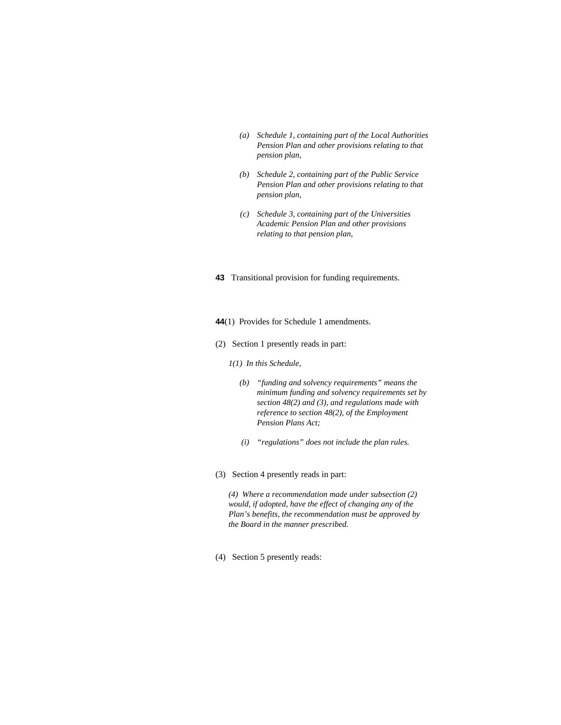- *(a) Schedule 1, containing part of the Local Authorities Pension Plan and other provisions relating to that pension plan,*
- *(b) Schedule 2, containing part of the Public Service Pension Plan and other provisions relating to that pension plan,*
- *(c) Schedule 3, containing part of the Universities Academic Pension Plan and other provisions relating to that pension plan,*
- **43** Transitional provision for funding requirements.

#### **44**(1) Provides for Schedule 1 amendments.

(2) Section 1 presently reads in part:

*1(1) In this Schedule,* 

- *(b) "funding and solvency requirements" means the minimum funding and solvency requirements set by section 48(2) and (3), and regulations made with reference to section 48(2), of the Employment Pension Plans Act;*
- *(i) "regulations" does not include the plan rules.*
- (3) Section 4 presently reads in part:

*(4) Where a recommendation made under subsection (2) would, if adopted, have the effect of changing any of the Plan's benefits, the recommendation must be approved by the Board in the manner prescribed.* 

(4) Section 5 presently reads: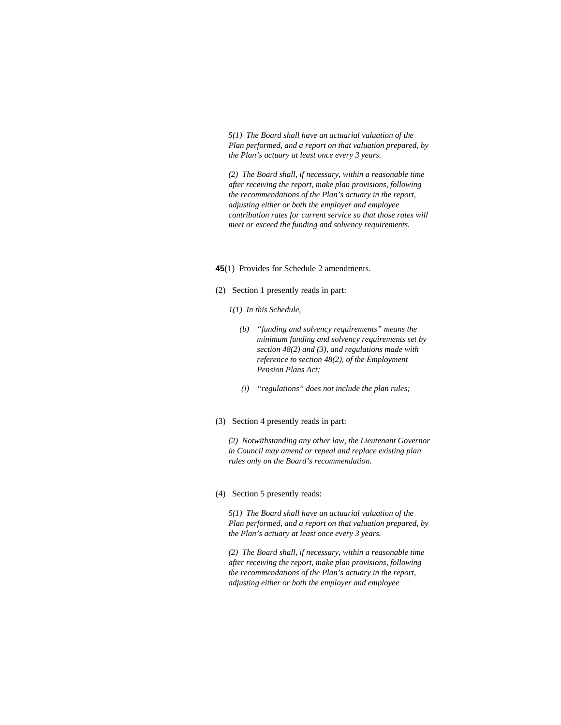*5(1) The Board shall have an actuarial valuation of the Plan performed, and a report on that valuation prepared, by the Plan's actuary at least once every 3 years.* 

*(2) The Board shall, if necessary, within a reasonable time after receiving the report, make plan provisions, following the recommendations of the Plan's actuary in the report, adjusting either or both the employer and employee contribution rates for current service so that those rates will meet or exceed the funding and solvency requirements.* 

#### **45**(1) Provides for Schedule 2 amendments.

- (2) Section 1 presently reads in part:
	- *1(1) In this Schedule,* 
		- *(b) "funding and solvency requirements" means the minimum funding and solvency requirements set by section 48(2) and (3), and regulations made with reference to section 48(2), of the Employment Pension Plans Act;*
		- *(i) "regulations" does not include the plan rules;*
- (3) Section 4 presently reads in part:

*(2) Notwithstanding any other law, the Lieutenant Governor in Council may amend or repeal and replace existing plan rules only on the Board's recommendation.* 

## (4) Section 5 presently reads:

*5(1) The Board shall have an actuarial valuation of the Plan performed, and a report on that valuation prepared, by the Plan's actuary at least once every 3 years.* 

*(2) The Board shall, if necessary, within a reasonable time after receiving the report, make plan provisions, following the recommendations of the Plan's actuary in the report, adjusting either or both the employer and employee*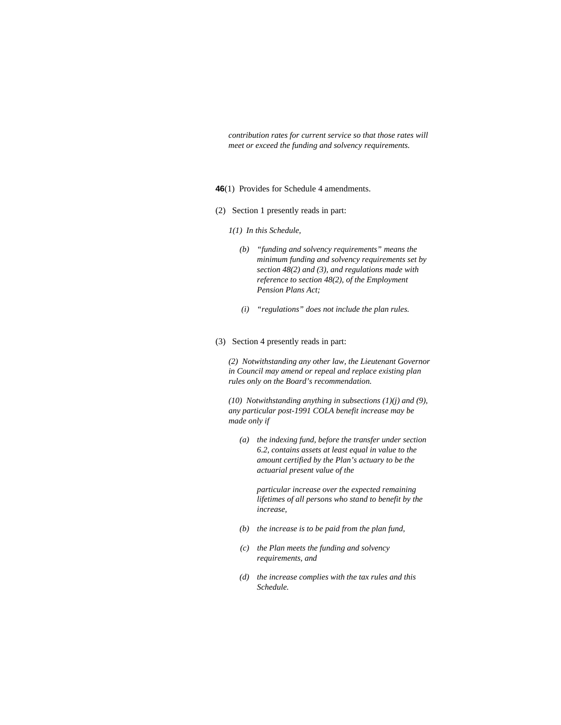*contribution rates for current service so that those rates will meet or exceed the funding and solvency requirements.* 

**46**(1) Provides for Schedule 4 amendments.

- (2) Section 1 presently reads in part:
	- *1(1) In this Schedule,* 
		- *(b) "funding and solvency requirements" means the minimum funding and solvency requirements set by section 48(2) and (3), and regulations made with reference to section 48(2), of the Employment Pension Plans Act;*
		- *(i) "regulations" does not include the plan rules.*
- (3) Section 4 presently reads in part:

*(2) Notwithstanding any other law, the Lieutenant Governor in Council may amend or repeal and replace existing plan rules only on the Board's recommendation.* 

*(10) Notwithstanding anything in subsections (1)(j) and (9), any particular post-1991 COLA benefit increase may be made only if* 

 *(a) the indexing fund, before the transfer under section 6.2, contains assets at least equal in value to the amount certified by the Plan's actuary to be the actuarial present value of the* 

 *particular increase over the expected remaining lifetimes of all persons who stand to benefit by the increase,* 

- *(b) the increase is to be paid from the plan fund,*
- *(c) the Plan meets the funding and solvency requirements, and*
- *(d) the increase complies with the tax rules and this Schedule.*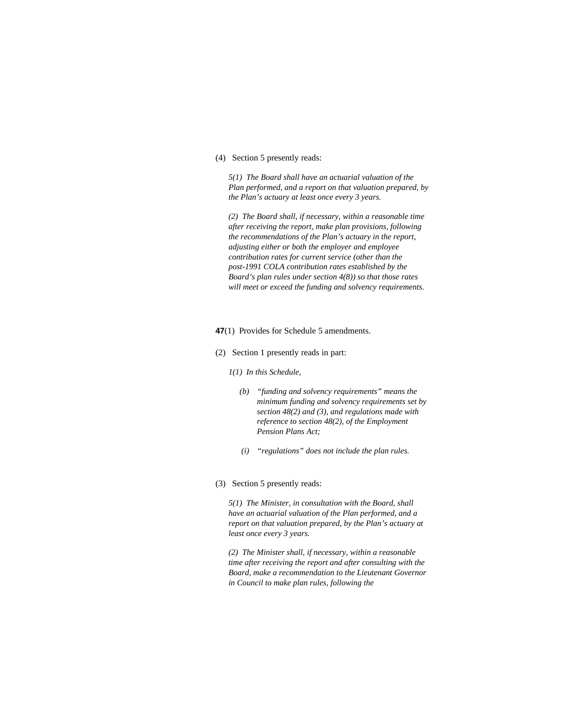#### (4) Section 5 presently reads:

*5(1) The Board shall have an actuarial valuation of the Plan performed, and a report on that valuation prepared, by the Plan's actuary at least once every 3 years.* 

*(2) The Board shall, if necessary, within a reasonable time after receiving the report, make plan provisions, following the recommendations of the Plan's actuary in the report, adjusting either or both the employer and employee contribution rates for current service (other than the post-1991 COLA contribution rates established by the Board's plan rules under section 4(8)) so that those rates will meet or exceed the funding and solvency requirements.* 

#### **47**(1) Provides for Schedule 5 amendments.

- (2) Section 1 presently reads in part:
	- *1(1) In this Schedule,* 
		- *(b) "funding and solvency requirements" means the minimum funding and solvency requirements set by section 48(2) and (3), and regulations made with reference to section 48(2), of the Employment Pension Plans Act;*
		- *(i) "regulations" does not include the plan rules.*
- (3) Section 5 presently reads:

*5(1) The Minister, in consultation with the Board, shall have an actuarial valuation of the Plan performed, and a report on that valuation prepared, by the Plan's actuary at least once every 3 years.* 

*(2) The Minister shall, if necessary, within a reasonable time after receiving the report and after consulting with the Board, make a recommendation to the Lieutenant Governor in Council to make plan rules, following the*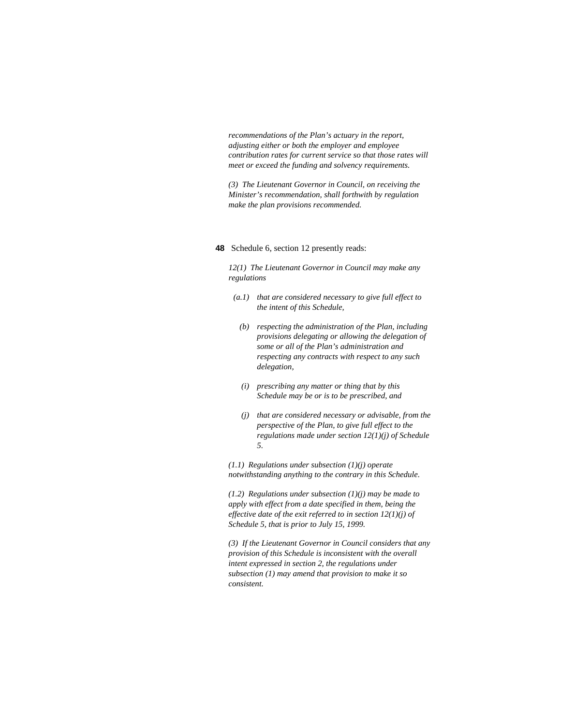*recommendations of the Plan's actuary in the report, adjusting either or both the employer and employee contribution rates for current service so that those rates will meet or exceed the funding and solvency requirements.* 

*(3) The Lieutenant Governor in Council, on receiving the Minister's recommendation, shall forthwith by regulation make the plan provisions recommended.* 

#### **48** Schedule 6, section 12 presently reads:

*12(1) The Lieutenant Governor in Council may make any regulations* 

- *(a.1) that are considered necessary to give full effect to the intent of this Schedule,* 
	- *(b) respecting the administration of the Plan, including provisions delegating or allowing the delegation of some or all of the Plan's administration and respecting any contracts with respect to any such delegation,*
	- *(i) prescribing any matter or thing that by this Schedule may be or is to be prescribed, and*
	- *(j) that are considered necessary or advisable, from the perspective of the Plan, to give full effect to the regulations made under section 12(1)(j) of Schedule 5.*

*(1.1) Regulations under subsection (1)(j) operate notwithstanding anything to the contrary in this Schedule.* 

*(1.2) Regulations under subsection (1)(j) may be made to apply with effect from a date specified in them, being the effective date of the exit referred to in section 12(1)(j) of Schedule 5, that is prior to July 15, 1999.* 

*(3) If the Lieutenant Governor in Council considers that any provision of this Schedule is inconsistent with the overall intent expressed in section 2, the regulations under subsection (1) may amend that provision to make it so consistent.*